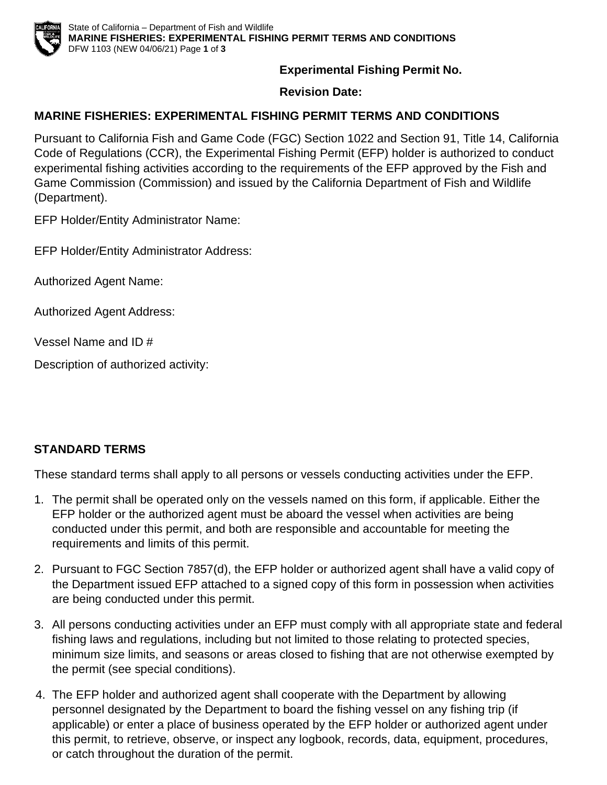

**Experimental Fishing Permit No.**

**Revision Date:**

## **MARINE FISHERIES: EXPERIMENTAL FISHING PERMIT TERMS AND CONDITIONS**

Pursuant to California Fish and Game Code (FGC) Section 1022 and Section 91, Title 14, California Code of Regulations (CCR), the Experimental Fishing Permit (EFP) holder is authorized to conduct experimental fishing activities according to the requirements of the EFP approved by the Fish and Game Commission (Commission) and issued by the California Department of Fish and Wildlife (Department).

EFP Holder/Entity Administrator Name:

EFP Holder/Entity Administrator Address:

Authorized Agent Name:

Authorized Agent Address:

Vessel Name and ID #

Description of authorized activity:

## **STANDARD TERMS**

These standard terms shall apply to all persons or vessels conducting activities under the EFP.

- 1. The permit shall be operated only on the vessels named on this form, if applicable. Either the EFP holder or the authorized agent must be aboard the vessel when activities are being conducted under this permit, and both are responsible and accountable for meeting the requirements and limits of this permit.
- 2. Pursuant to FGC Section 7857(d), the EFP holder or authorized agent shall have a valid copy of the Department issued EFP attached to a signed copy of this form in possession when activities are being conducted under this permit.
- 3. All persons conducting activities under an EFP must comply with all appropriate state and federal fishing laws and regulations, including but not limited to those relating to protected species, minimum size limits, and seasons or areas closed to fishing that are not otherwise exempted by the permit (see special conditions).
- 4. The EFP holder and authorized agent shall cooperate with the Department by allowing personnel designated by the Department to board the fishing vessel on any fishing trip (if applicable) or enter a place of business operated by the EFP holder or authorized agent under this permit, to retrieve, observe, or inspect any logbook, records, data, equipment, procedures, or catch throughout the duration of the permit.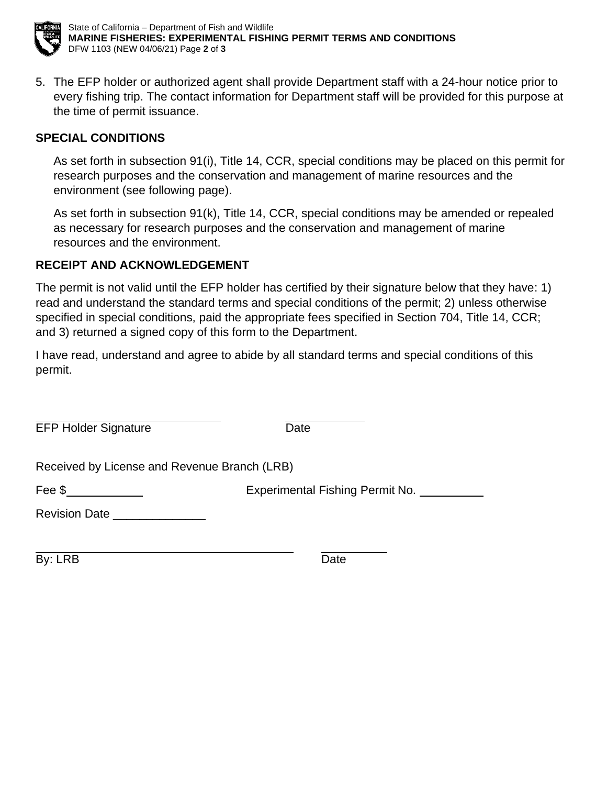

State of California – Department of Fish and Wildlife **MARINE FISHERIES: EXPERIMENTAL FISHING PERMIT TERMS AND CONDITIONS** DFW 1103 (NEW 04/06/21) Page **2** of **3**

5. The EFP holder or authorized agent shall provide Department staff with a 24-hour notice prior to every fishing trip. The contact information for Department staff will be provided for this purpose at the time of permit issuance.

#### **SPECIAL CONDITIONS**

As set forth in subsection 91(i), Title 14, CCR, special conditions may be placed on this permit for research purposes and the conservation and management of marine resources and the environment (see following page).

As set forth in subsection 91(k), Title 14, CCR, special conditions may be amended or repealed as necessary for research purposes and the conservation and management of marine resources and the environment.

### **RECEIPT AND ACKNOWLEDGEMENT**

The permit is not valid until the EFP holder has certified by their signature below that they have: 1) read and understand the standard terms and special conditions of the permit; 2) unless otherwise specified in special conditions, paid the appropriate fees specified in Section 704, Title 14, CCR; and 3) returned a signed copy of this form to the Department.

I have read, understand and agree to abide by all standard terms and special conditions of this permit.

| <b>EFP Holder Signature</b>                  | Date                            |
|----------------------------------------------|---------------------------------|
| Received by License and Revenue Branch (LRB) |                                 |
| Fee \$                                       | Experimental Fishing Permit No. |
| Revision Date _                              |                                 |

By: LRB Date